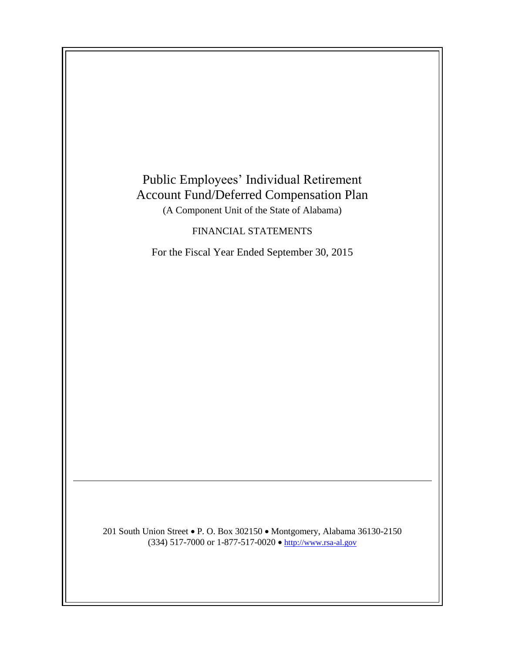

201 South Union Street • P. O. Box 302150 • Montgomery, Alabama 36130-2150 (334) 517-7000 or 1-877-517-0020  $\bullet$  [http://www.rsa-al.gov](http://www.rsa.state.al.us/)